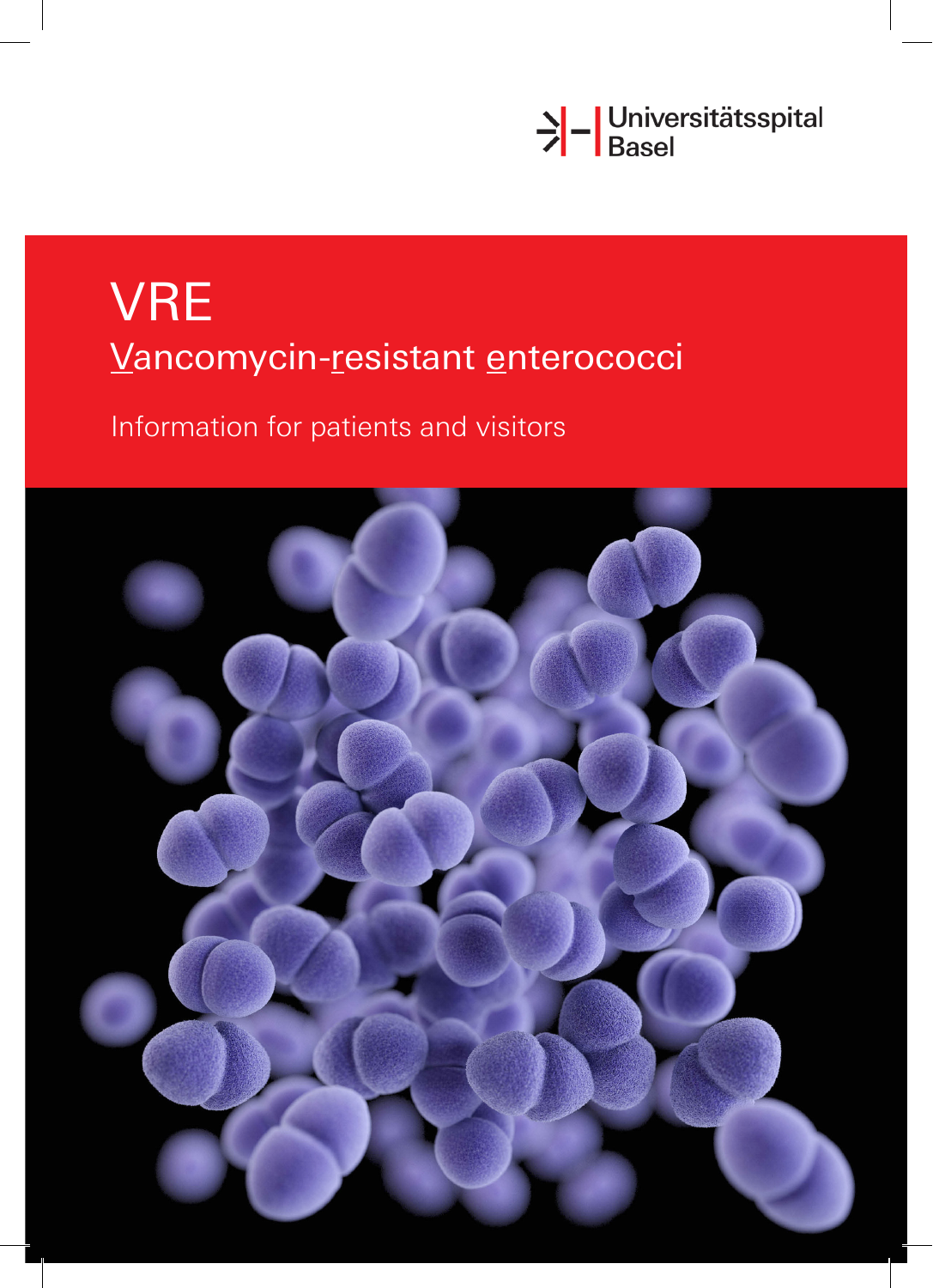

# VRE Vancomycin-resistant enterococci

Information for patients and visitors

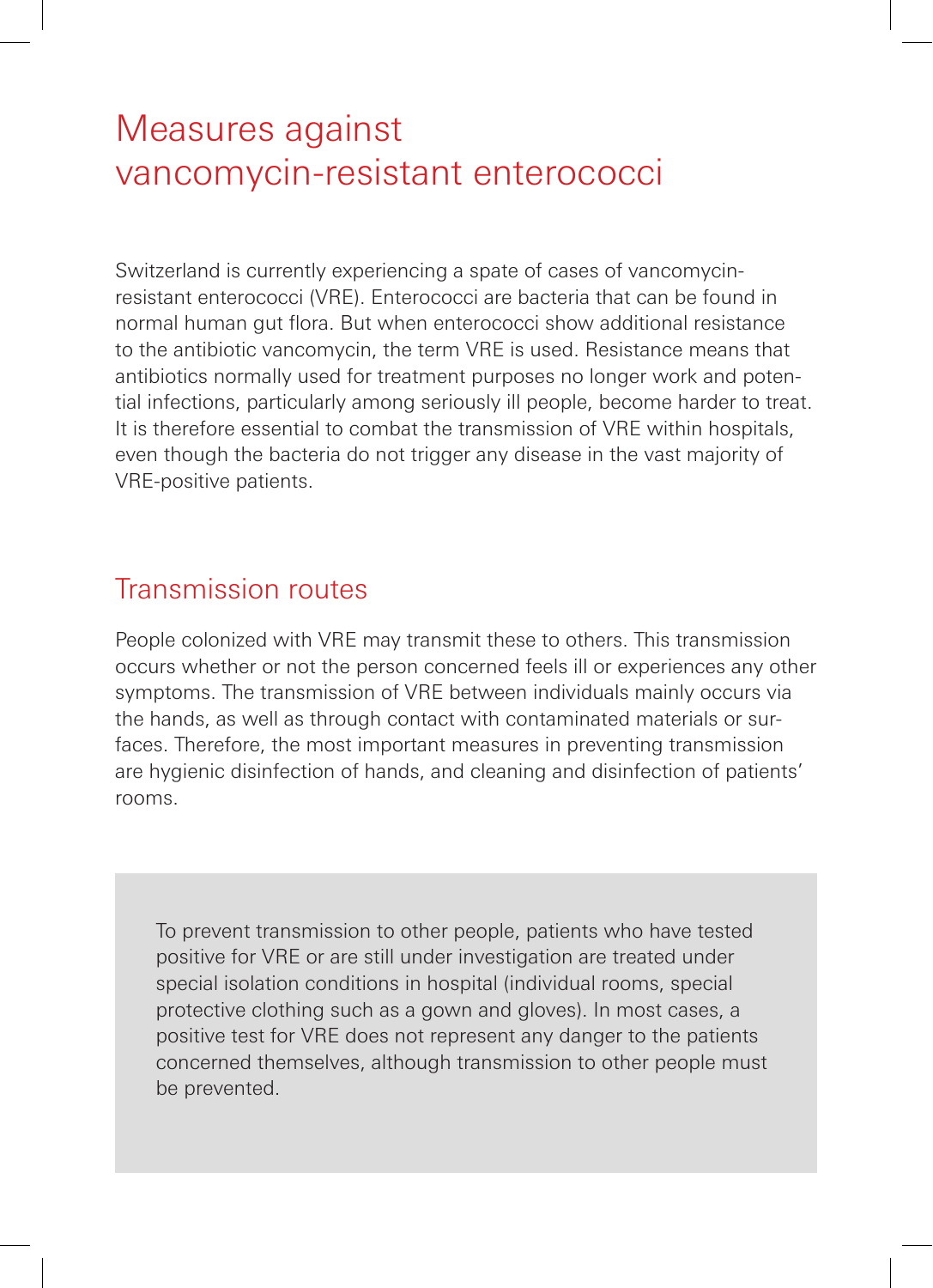# Measures against vancomycin-resistant enterococci

Switzerland is currently experiencing a spate of cases of vancomycinresistant enterococci (VRE). Enterococci are bacteria that can be found in normal human gut flora. But when enterococci show additional resistance to the antibiotic vancomycin, the term VRE is used. Resistance means that antibiotics normally used for treatment purposes no longer work and potential infections, particularly among seriously ill people, become harder to treat. It is therefore essential to combat the transmission of VRE within hospitals, even though the bacteria do not trigger any disease in the vast majority of VRE-positive patients.

#### Transmission routes

People colonized with VRE may transmit these to others. This transmission occurs whether or not the person concerned feels ill or experiences any other symptoms. The transmission of VRE between individuals mainly occurs via the hands, as well as through contact with contaminated materials or surfaces. Therefore, the most important measures in preventing transmission are hygienic disinfection of hands, and cleaning and disinfection of patients' rooms.

To prevent transmission to other people, patients who have tested positive for VRE or are still under investigation are treated under special isolation conditions in hospital (individual rooms, special protective clothing such as a gown and gloves). In most cases, a positive test for VRE does not represent any danger to the patients concerned themselves, although transmission to other people must be prevented.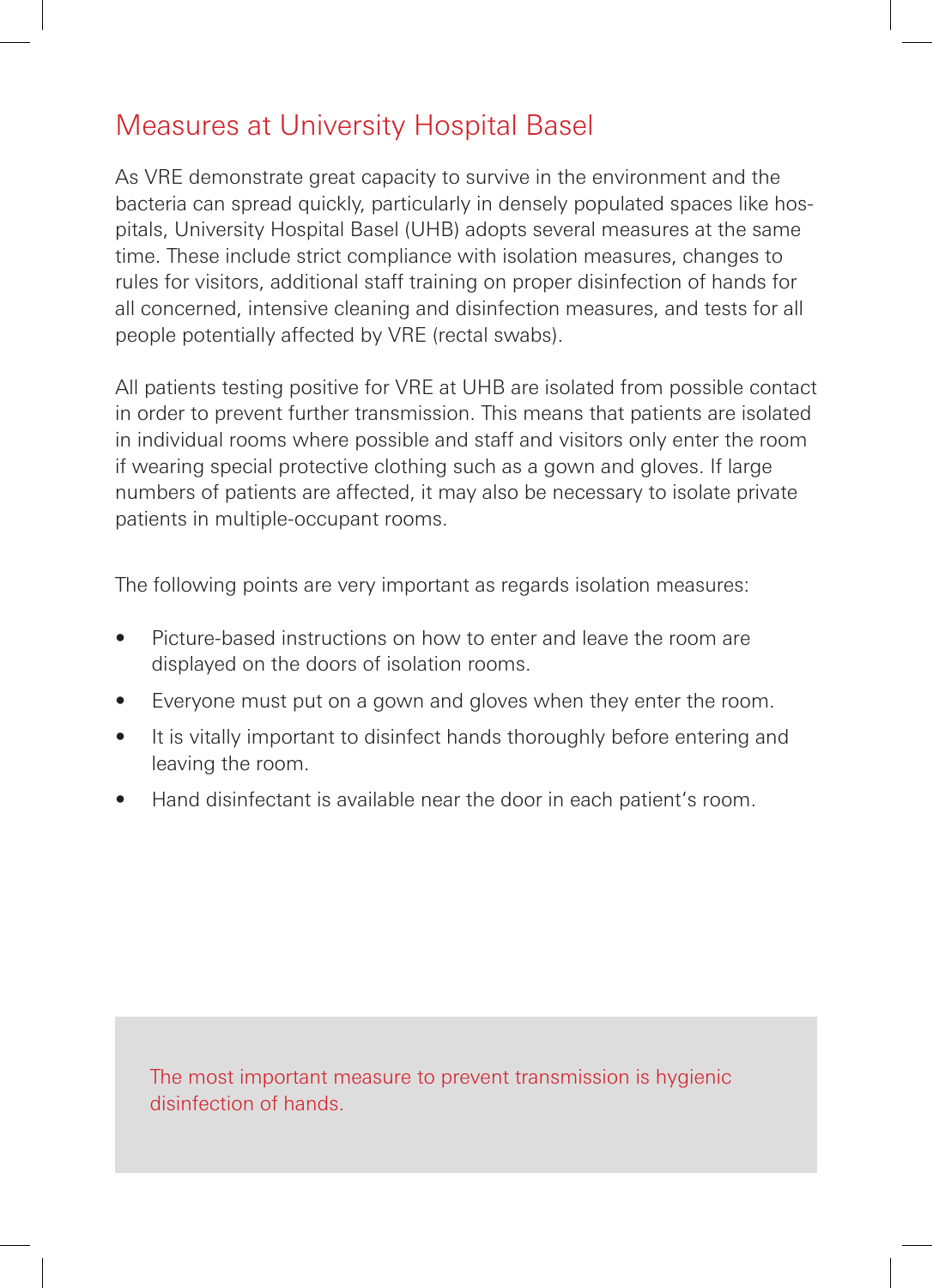#### Measures at University Hospital Basel

As VRE demonstrate great capacity to survive in the environment and the bacteria can spread quickly, particularly in densely populated spaces like hospitals, University Hospital Basel (UHB) adopts several measures at the same time. These include strict compliance with isolation measures, changes to rules for visitors, additional staff training on proper disinfection of hands for all concerned, intensive cleaning and disinfection measures, and tests for all people potentially affected by VRE (rectal swabs).

All patients testing positive for VRE at UHB are isolated from possible contact in order to prevent further transmission. This means that patients are isolated in individual rooms where possible and staff and visitors only enter the room if wearing special protective clothing such as a gown and gloves. If large numbers of patients are affected, it may also be necessary to isolate private patients in multiple-occupant rooms.

The following points are very important as regards isolation measures:

- Picture-based instructions on how to enter and leave the room are displayed on the doors of isolation rooms.
- Everyone must put on a gown and gloves when they enter the room.
- It is vitally important to disinfect hands thoroughly before entering and leaving the room.
- Hand disinfectant is available near the door in each patient's room.

The most important measure to prevent transmission is hygienic disinfection of hands.